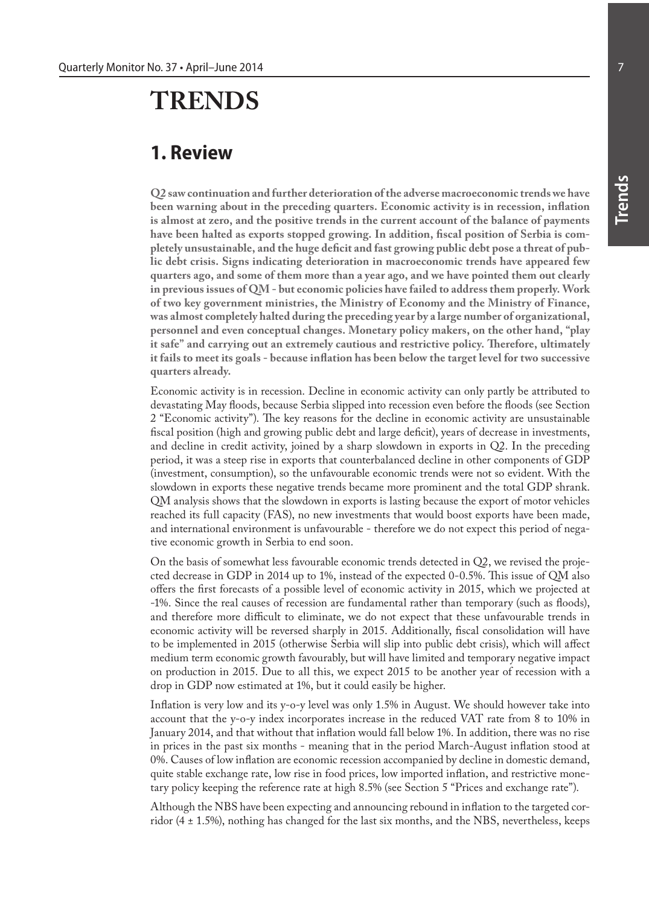## **TRENDS**

## **1. Review**

**Q2 saw continuation and further deterioration of the adverse macroeconomic trends we have been warning about in the preceding quarters. Economic activity is in recession, inflation is almost at zero, and the positive trends in the current account of the balance of payments have been halted as exports stopped growing. In addition, fiscal position of Serbia is completely unsustainable, and the huge deficit and fast growing public debt pose a threat of public debt crisis. Signs indicating deterioration in macroeconomic trends have appeared few quarters ago, and some of them more than a year ago, and we have pointed them out clearly in previous issues of QM - but economic policies have failed to address them properly. Work of two key government ministries, the Ministry of Economy and the Ministry of Finance, was almost completely halted during the preceding year by a large number of organizational, personnel and even conceptual changes. Monetary policy makers, on the other hand, "play it safe" and carrying out an extremely cautious and restrictive policy. Therefore, ultimately it fails to meet its goals - because inflation has been below the target level for two successive quarters already.** 

Economic activity is in recession. Decline in economic activity can only partly be attributed to devastating May floods, because Serbia slipped into recession even before the floods (see Section 2 "Economic activity"). The key reasons for the decline in economic activity are unsustainable fiscal position (high and growing public debt and large deficit), years of decrease in investments, and decline in credit activity, joined by a sharp slowdown in exports in Q2. In the preceding period, it was a steep rise in exports that counterbalanced decline in other components of GDP (investment, consumption), so the unfavourable economic trends were not so evident. With the slowdown in exports these negative trends became more prominent and the total GDP shrank. QM analysis shows that the slowdown in exports is lasting because the export of motor vehicles reached its full capacity (FAS), no new investments that would boost exports have been made, and international environment is unfavourable - therefore we do not expect this period of negative economic growth in Serbia to end soon.

On the basis of somewhat less favourable economic trends detected in Q2, we revised the projected decrease in GDP in 2014 up to 1%, instead of the expected 0-0.5%. This issue of QM also offers the first forecasts of a possible level of economic activity in 2015, which we projected at -1%. Since the real causes of recession are fundamental rather than temporary (such as floods), and therefore more difficult to eliminate, we do not expect that these unfavourable trends in economic activity will be reversed sharply in 2015. Additionally, fiscal consolidation will have to be implemented in 2015 (otherwise Serbia will slip into public debt crisis), which will affect medium term economic growth favourably, but will have limited and temporary negative impact on production in 2015. Due to all this, we expect 2015 to be another year of recession with a drop in GDP now estimated at 1%, but it could easily be higher.

Inflation is very low and its y-o-y level was only 1.5% in August. We should however take into account that the y-o-y index incorporates increase in the reduced VAT rate from 8 to 10% in January 2014, and that without that inflation would fall below 1%. In addition, there was no rise in prices in the past six months - meaning that in the period March-August inflation stood at 0%. Causes of low inflation are economic recession accompanied by decline in domestic demand, quite stable exchange rate, low rise in food prices, low imported inflation, and restrictive monetary policy keeping the reference rate at high 8.5% (see Section 5 "Prices and exchange rate").

Although the NBS have been expecting and announcing rebound in inflation to the targeted corridor (4 ± 1.5%), nothing has changed for the last six months, and the NBS, nevertheless, keeps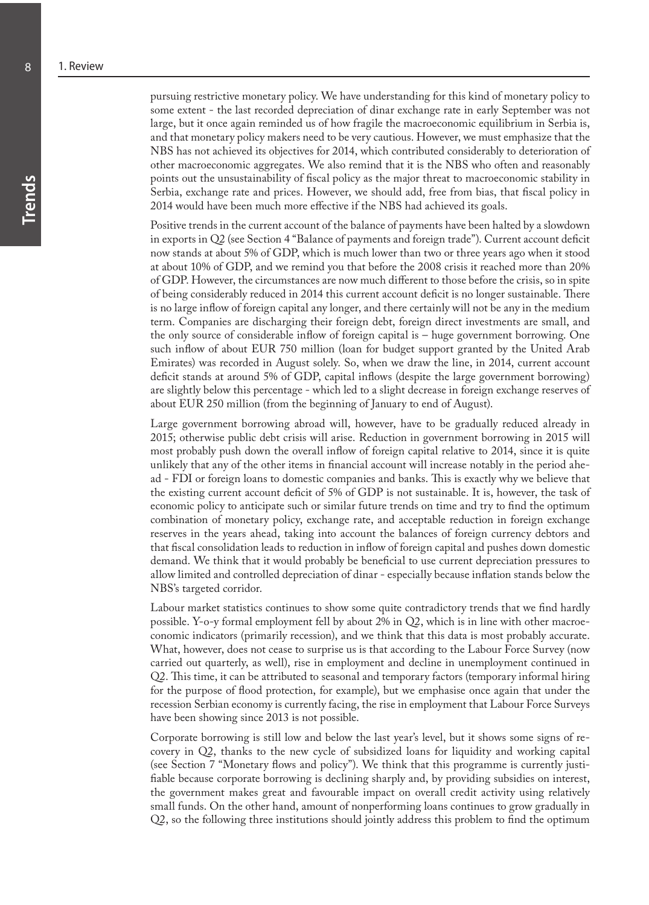pursuing restrictive monetary policy. We have understanding for this kind of monetary policy to some extent - the last recorded depreciation of dinar exchange rate in early September was not large, but it once again reminded us of how fragile the macroeconomic equilibrium in Serbia is, and that monetary policy makers need to be very cautious. However, we must emphasize that the NBS has not achieved its objectives for 2014, which contributed considerably to deterioration of other macroeconomic aggregates. We also remind that it is the NBS who often and reasonably points out the unsustainability of fiscal policy as the major threat to macroeconomic stability in Serbia, exchange rate and prices. However, we should add, free from bias, that fiscal policy in 2014 would have been much more effective if the NBS had achieved its goals.

Positive trends in the current account of the balance of payments have been halted by a slowdown in exports in Q2 (see Section 4 "Balance of payments and foreign trade"). Current account deficit now stands at about 5% of GDP, which is much lower than two or three years ago when it stood at about 10% of GDP, and we remind you that before the 2008 crisis it reached more than 20% of GDP. However, the circumstances are now much different to those before the crisis, so in spite of being considerably reduced in 2014 this current account deficit is no longer sustainable. There is no large inflow of foreign capital any longer, and there certainly will not be any in the medium term. Companies are discharging their foreign debt, foreign direct investments are small, and the only source of considerable inflow of foreign capital is – huge government borrowing. One such inflow of about EUR 750 million (loan for budget support granted by the United Arab Emirates) was recorded in August solely. So, when we draw the line, in 2014, current account deficit stands at around 5% of GDP, capital inflows (despite the large government borrowing) are slightly below this percentage - which led to a slight decrease in foreign exchange reserves of about EUR 250 million (from the beginning of January to end of August).

Large government borrowing abroad will, however, have to be gradually reduced already in 2015; otherwise public debt crisis will arise. Reduction in government borrowing in 2015 will most probably push down the overall inflow of foreign capital relative to 2014, since it is quite unlikely that any of the other items in financial account will increase notably in the period ahead - FDI or foreign loans to domestic companies and banks. This is exactly why we believe that the existing current account deficit of 5% of GDP is not sustainable. It is, however, the task of economic policy to anticipate such or similar future trends on time and try to find the optimum combination of monetary policy, exchange rate, and acceptable reduction in foreign exchange reserves in the years ahead, taking into account the balances of foreign currency debtors and that fiscal consolidation leads to reduction in inflow of foreign capital and pushes down domestic demand. We think that it would probably be beneficial to use current depreciation pressures to allow limited and controlled depreciation of dinar - especially because inflation stands below the NBS's targeted corridor.

Labour market statistics continues to show some quite contradictory trends that we find hardly possible. Y-o-y formal employment fell by about 2% in Q2, which is in line with other macroeconomic indicators (primarily recession), and we think that this data is most probably accurate. What, however, does not cease to surprise us is that according to the Labour Force Survey (now carried out quarterly, as well), rise in employment and decline in unemployment continued in Q2. This time, it can be attributed to seasonal and temporary factors (temporary informal hiring for the purpose of flood protection, for example), but we emphasise once again that under the recession Serbian economy is currently facing, the rise in employment that Labour Force Surveys have been showing since 2013 is not possible.

Corporate borrowing is still low and below the last year's level, but it shows some signs of recovery in Q2, thanks to the new cycle of subsidized loans for liquidity and working capital (see Section 7 "Monetary flows and policy"). We think that this programme is currently justifiable because corporate borrowing is declining sharply and, by providing subsidies on interest, the government makes great and favourable impact on overall credit activity using relatively small funds. On the other hand, amount of nonperforming loans continues to grow gradually in Q2, so the following three institutions should jointly address this problem to find the optimum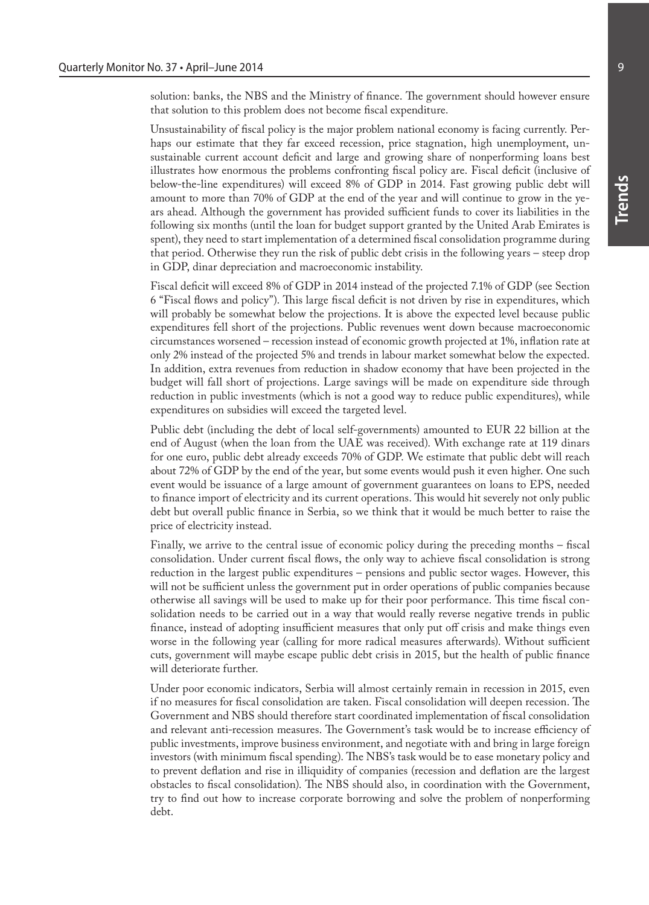solution: banks, the NBS and the Ministry of finance. The government should however ensure that solution to this problem does not become fiscal expenditure.

Unsustainability of fiscal policy is the major problem national economy is facing currently. Perhaps our estimate that they far exceed recession, price stagnation, high unemployment, unsustainable current account deficit and large and growing share of nonperforming loans best illustrates how enormous the problems confronting fiscal policy are. Fiscal deficit (inclusive of below-the-line expenditures) will exceed 8% of GDP in 2014. Fast growing public debt will amount to more than 70% of GDP at the end of the year and will continue to grow in the years ahead. Although the government has provided sufficient funds to cover its liabilities in the following six months (until the loan for budget support granted by the United Arab Emirates is spent), they need to start implementation of a determined fiscal consolidation programme during that period. Otherwise they run the risk of public debt crisis in the following years – steep drop in GDP, dinar depreciation and macroeconomic instability.

Fiscal deficit will exceed 8% of GDP in 2014 instead of the projected 7.1% of GDP (see Section 6 "Fiscal flows and policy"). This large fiscal deficit is not driven by rise in expenditures, which will probably be somewhat below the projections. It is above the expected level because public expenditures fell short of the projections. Public revenues went down because macroeconomic circumstances worsened – recession instead of economic growth projected at 1%, inflation rate at only 2% instead of the projected 5% and trends in labour market somewhat below the expected. In addition, extra revenues from reduction in shadow economy that have been projected in the budget will fall short of projections. Large savings will be made on expenditure side through reduction in public investments (which is not a good way to reduce public expenditures), while expenditures on subsidies will exceed the targeted level.

Public debt (including the debt of local self-governments) amounted to EUR 22 billion at the end of August (when the loan from the UAE was received). With exchange rate at 119 dinars for one euro, public debt already exceeds 70% of GDP. We estimate that public debt will reach about 72% of GDP by the end of the year, but some events would push it even higher. One such event would be issuance of a large amount of government guarantees on loans to EPS, needed to finance import of electricity and its current operations. This would hit severely not only public debt but overall public finance in Serbia, so we think that it would be much better to raise the price of electricity instead.

Finally, we arrive to the central issue of economic policy during the preceding months – fiscal consolidation. Under current fiscal flows, the only way to achieve fiscal consolidation is strong reduction in the largest public expenditures – pensions and public sector wages. However, this will not be sufficient unless the government put in order operations of public companies because otherwise all savings will be used to make up for their poor performance. This time fiscal consolidation needs to be carried out in a way that would really reverse negative trends in public finance, instead of adopting insufficient measures that only put off crisis and make things even worse in the following year (calling for more radical measures afterwards). Without sufficient cuts, government will maybe escape public debt crisis in 2015, but the health of public finance will deteriorate further.

Under poor economic indicators, Serbia will almost certainly remain in recession in 2015, even if no measures for fiscal consolidation are taken. Fiscal consolidation will deepen recession. The Government and NBS should therefore start coordinated implementation of fiscal consolidation and relevant anti-recession measures. The Government's task would be to increase efficiency of public investments, improve business environment, and negotiate with and bring in large foreign investors (with minimum fiscal spending). The NBS's task would be to ease monetary policy and to prevent deflation and rise in illiquidity of companies (recession and deflation are the largest obstacles to fiscal consolidation). The NBS should also, in coordination with the Government, try to find out how to increase corporate borrowing and solve the problem of nonperforming debt.